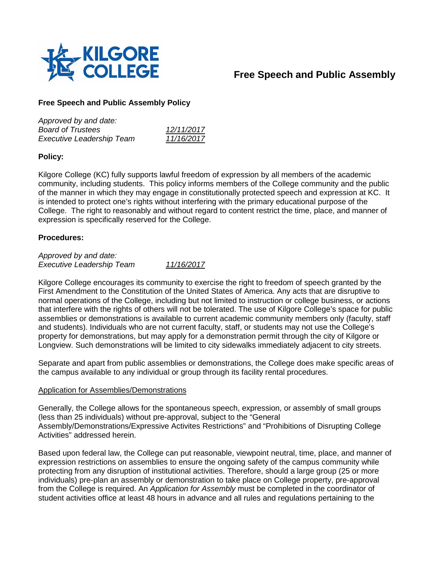

# **Free Speech and Public Assembly**

# **Free Speech and Public Assembly Policy**

| Approved by and date:            |            |
|----------------------------------|------------|
| <b>Board of Trustees</b>         | 12/11/2017 |
| <b>Executive Leadership Team</b> | 11/16/2017 |

# **Policy:**

Kilgore College (KC) fully supports lawful freedom of expression by all members of the academic community, including students. This policy informs members of the College community and the public of the manner in which they may engage in constitutionally protected speech and expression at KC. It is intended to protect one's rights without interfering with the primary educational purpose of the College. The right to reasonably and without regard to content restrict the time, place, and manner of expression is specifically reserved for the College.

## **Procedures:**

*Approved by and date: Executive Leadership Team 11/16/2017*

Kilgore College encourages its community to exercise the right to freedom of speech granted by the First Amendment to the Constitution of the United States of America. Any acts that are disruptive to normal operations of the College, including but not limited to instruction or college business, or actions that interfere with the rights of others will not be tolerated. The use of Kilgore College's space for public assemblies or demonstrations is available to current academic community members only (faculty, staff and students). Individuals who are not current faculty, staff, or students may not use the College's property for demonstrations, but may apply for a demonstration permit through the city of Kilgore or Longview. Such demonstrations will be limited to city sidewalks immediately adjacent to city streets.

Separate and apart from public assemblies or demonstrations, the College does make specific areas of the campus available to any individual or group through its facility rental procedures.

#### Application for Assemblies/Demonstrations

Generally, the College allows for the spontaneous speech, expression, or assembly of small groups (less than 25 individuals) without pre-approval, subject to the "General Assembly/Demonstrations/Expressive Activites Restrictions" and "Prohibitions of Disrupting College Activities" addressed herein.

Based upon federal law, the College can put reasonable, viewpoint neutral, time, place, and manner of expression restrictions on assemblies to ensure the ongoing safety of the campus community while protecting from any disruption of institutional activities. Therefore, should a large group (25 or more individuals) pre-plan an assembly or demonstration to take place on College property, pre-approval from the College is required. An *Application for Assembly* must be completed in the coordinator of student activities office at least 48 hours in advance and all rules and regulations pertaining to the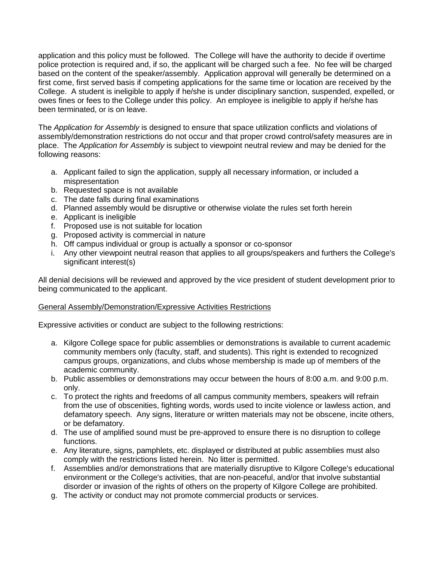application and this policy must be followed. The College will have the authority to decide if overtime police protection is required and, if so, the applicant will be charged such a fee. No fee will be charged based on the content of the speaker/assembly. Application approval will generally be determined on a first come, first served basis if competing applications for the same time or location are received by the College. A student is ineligible to apply if he/she is under disciplinary sanction, suspended, expelled, or owes fines or fees to the College under this policy. An employee is ineligible to apply if he/she has been terminated, or is on leave.

The *Application for Assembly* is designed to ensure that space utilization conflicts and violations of assembly/demonstration restrictions do not occur and that proper crowd control/safety measures are in place. The *Application for Assembly* is subject to viewpoint neutral review and may be denied for the following reasons:

- a. Applicant failed to sign the application, supply all necessary information, or included a mispresentation
- b. Requested space is not available
- c. The date falls during final examinations
- d. Planned assembly would be disruptive or otherwise violate the rules set forth herein
- e. Applicant is ineligible
- f. Proposed use is not suitable for location
- g. Proposed activity is commercial in nature
- h. Off campus individual or group is actually a sponsor or co-sponsor
- i. Any other viewpoint neutral reason that applies to all groups/speakers and furthers the College's significant interest(s)

All denial decisions will be reviewed and approved by the vice president of student development prior to being communicated to the applicant.

## General Assembly/Demonstration/Expressive Activities Restrictions

Expressive activities or conduct are subject to the following restrictions:

- a. Kilgore College space for public assemblies or demonstrations is available to current academic community members only (faculty, staff, and students). This right is extended to recognized campus groups, organizations, and clubs whose membership is made up of members of the academic community.
- b. Public assemblies or demonstrations may occur between the hours of 8:00 a.m. and 9:00 p.m. only.
- c. To protect the rights and freedoms of all campus community members, speakers will refrain from the use of obscenities, fighting words, words used to incite violence or lawless action, and defamatory speech. Any signs, literature or written materials may not be obscene, incite others, or be defamatory.
- d. The use of amplified sound must be pre-approved to ensure there is no disruption to college functions.
- e. Any literature, signs, pamphlets, etc. displayed or distributed at public assemblies must also comply with the restrictions listed herein. No litter is permitted.
- f. Assemblies and/or demonstrations that are materially disruptive to Kilgore College's educational environment or the College's activities, that are non-peaceful, and/or that involve substantial disorder or invasion of the rights of others on the property of Kilgore College are prohibited.
- g. The activity or conduct may not promote commercial products or services.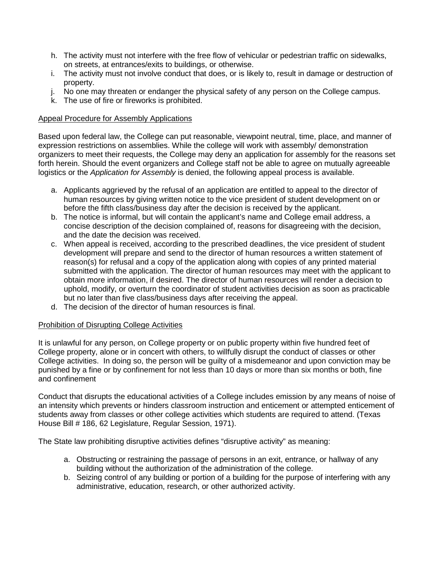- h. The activity must not interfere with the free flow of vehicular or pedestrian traffic on sidewalks, on streets, at entrances/exits to buildings, or otherwise.
- i. The activity must not involve conduct that does, or is likely to, result in damage or destruction of property.
- j. No one may threaten or endanger the physical safety of any person on the College campus.
- k. The use of fire or fireworks is prohibited.

# Appeal Procedure for Assembly Applications

Based upon federal law, the College can put reasonable, viewpoint neutral, time, place, and manner of expression restrictions on assemblies. While the college will work with assembly/ demonstration organizers to meet their requests, the College may deny an application for assembly for the reasons set forth herein. Should the event organizers and College staff not be able to agree on mutually agreeable logistics or the *Application for Assembly* is denied, the following appeal process is available.

- a. Applicants aggrieved by the refusal of an application are entitled to appeal to the director of human resources by giving written notice to the vice president of student development on or before the fifth class/business day after the decision is received by the applicant.
- b. The notice is informal, but will contain the applicant's name and College email address, a concise description of the decision complained of, reasons for disagreeing with the decision, and the date the decision was received.
- c. When appeal is received, according to the prescribed deadlines, the vice president of student development will prepare and send to the director of human resources a written statement of reason(s) for refusal and a copy of the application along with copies of any printed material submitted with the application. The director of human resources may meet with the applicant to obtain more information, if desired. The director of human resources will render a decision to uphold, modify, or overturn the coordinator of student activities decision as soon as practicable but no later than five class/business days after receiving the appeal.
- d. The decision of the director of human resources is final.

# Prohibition of Disrupting College Activities

It is unlawful for any person, on College property or on public property within five hundred feet of College property, alone or in concert with others, to willfully disrupt the conduct of classes or other College activities. In doing so, the person will be guilty of a misdemeanor and upon conviction may be punished by a fine or by confinement for not less than 10 days or more than six months or both, fine and confinement

Conduct that disrupts the educational activities of a College includes emission by any means of noise of an intensity which prevents or hinders classroom instruction and enticement or attempted enticement of students away from classes or other college activities which students are required to attend. (Texas House Bill # 186, 62 Legislature, Regular Session, 1971).

The State law prohibiting disruptive activities defines "disruptive activity" as meaning:

- a. Obstructing or restraining the passage of persons in an exit, entrance, or hallway of any building without the authorization of the administration of the college.
- b. Seizing control of any building or portion of a building for the purpose of interfering with any administrative, education, research, or other authorized activity.